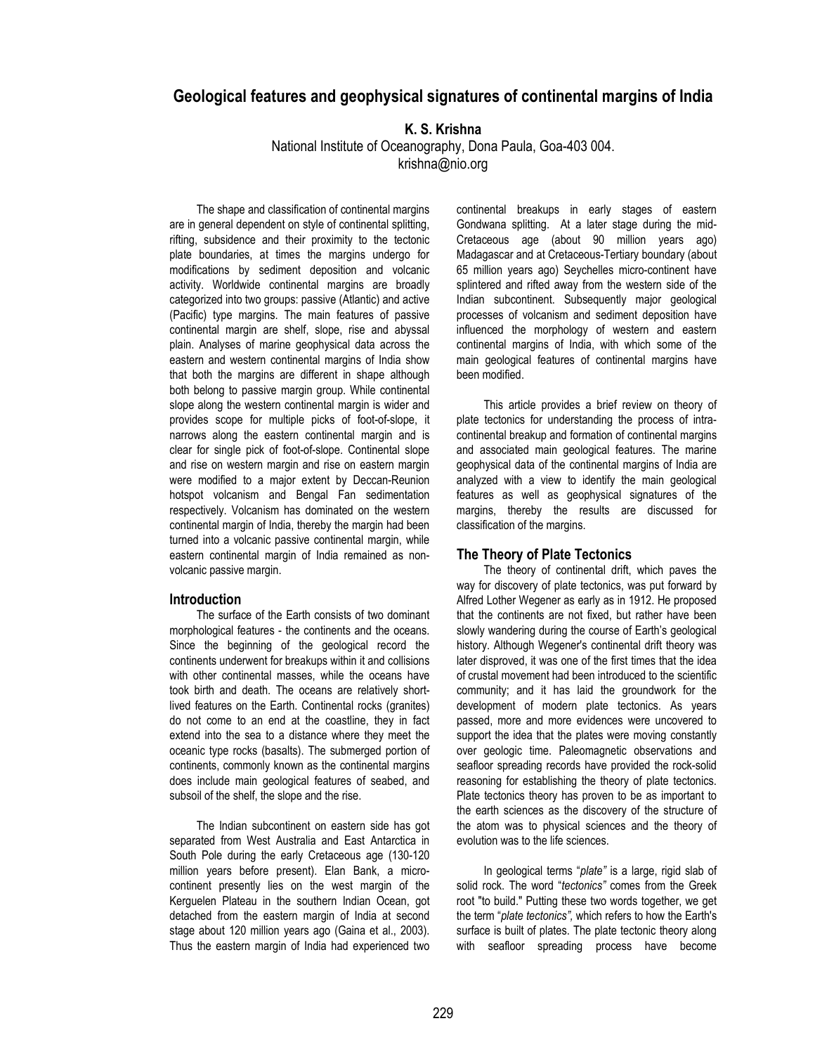# **Geological features and geophysical signatures of continental margins of India**

## **K. S. Krishna**

National Institute of Oceanography, Dona Paula, Goa-403 004. krishna@nio.org

The shape and classification of continental margins are in general dependent on style of continental splitting, rifting, subsidence and their proximity to the tectonic plate boundaries, at times the margins undergo for modifications by sediment deposition and volcanic activity. Worldwide continental margins are broadly categorized into two groups: passive (Atlantic) and active (Pacific) type margins. The main features of passive continental margin are shelf, slope, rise and abyssal plain. Analyses of marine geophysical data across the eastern and western continental margins of India show that both the margins are different in shape although both belong to passive margin group. While continental slope along the western continental margin is wider and provides scope for multiple picks of foot-of-slope, it narrows along the eastern continental margin and is clear for single pick of foot-of-slope. Continental slope and rise on western margin and rise on eastern margin were modified to a major extent by Deccan-Reunion hotspot volcanism and Bengal Fan sedimentation respectively. Volcanism has dominated on the western continental margin of India, thereby the margin had been turned into a volcanic passive continental margin, while eastern continental margin of India remained as nonvolcanic passive margin.

#### **Introduction**

The surface of the Earth consists of two dominant morphological features - the continents and the oceans. Since the beginning of the geological record the continents underwent for breakups within it and collisions with other continental masses, while the oceans have took birth and death. The oceans are relatively shortlived features on the Earth. Continental rocks (granites) do not come to an end at the coastline, they in fact extend into the sea to a distance where they meet the oceanic type rocks (basalts). The submerged portion of continents, commonly known as the continental margins does include main geological features of seabed, and subsoil of the shelf, the slope and the rise.

The Indian subcontinent on eastern side has got separated from West Australia and East Antarctica in South Pole during the early Cretaceous age (130-120 million years before present). Elan Bank, a microcontinent presently lies on the west margin of the Kerguelen Plateau in the southern Indian Ocean, got detached from the eastern margin of India at second stage about 120 million years ago (Gaina et al., 2003). Thus the eastern margin of India had experienced two continental breakups in early stages of eastern Gondwana splitting. At a later stage during the mid-Cretaceous age (about 90 million years ago) Madagascar and at Cretaceous-Tertiary boundary (about 65 million years ago) Seychelles micro-continent have splintered and rifted away from the western side of the Indian subcontinent. Subsequently major geological processes of volcanism and sediment deposition have influenced the morphology of western and eastern continental margins of India, with which some of the main geological features of continental margins have been modified.

This article provides a brief review on theory of plate tectonics for understanding the process of intracontinental breakup and formation of continental margins and associated main geological features. The marine geophysical data of the continental margins of India are analyzed with a view to identify the main geological features as well as geophysical signatures of the margins, thereby the results are discussed for classification of the margins.

#### **The Theory of Plate Tectonics**

The theory of continental drift, which paves the way for discovery of plate tectonics, was put forward by Alfred Lother Wegener as early as in 1912. He proposed that the continents are not fixed, but rather have been slowly wandering during the course of Earth's geological history. Although Wegener's continental drift theory was later disproved, it was one of the first times that the idea of crustal movement had been introduced to the scientific community; and it has laid the groundwork for the development of modern plate tectonics. As years passed, more and more evidences were uncovered to support the idea that the plates were moving constantly over geologic time. Paleomagnetic observations and seafloor spreading records have provided the rock-solid reasoning for establishing the theory of plate tectonics. Plate tectonics theory has proven to be as important to the earth sciences as the discovery of the structure of the atom was to physical sciences and the theory of evolution was to the life sciences.

In geological terms "*plate"* is a large, rigid slab of solid rock. The word "*tectonics"* comes from the Greek root "to build." Putting these two words together, we get the term "*plate tectonics",* which refers to how the Earth's surface is built of plates. The plate tectonic theory along with seafloor spreading process have become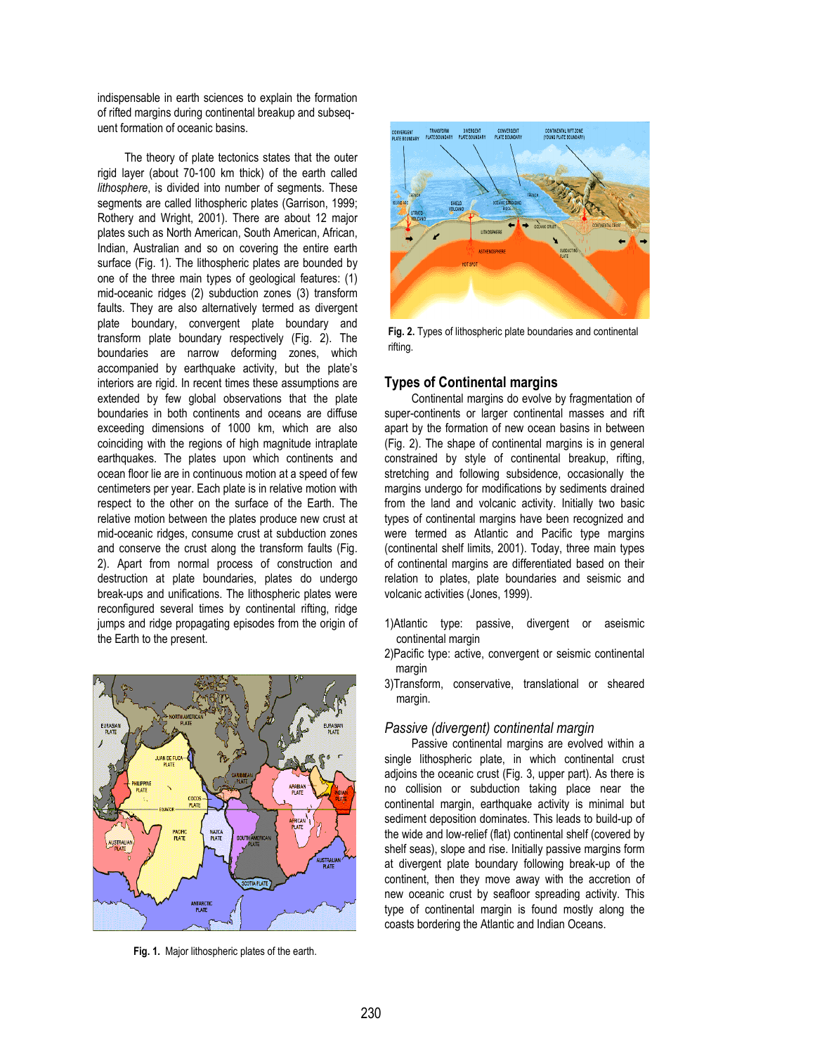indispensable in earth sciences to explain the formation of rifted margins during continental breakup and subsequent formation of oceanic basins.

The theory of plate tectonics states that the outer rigid layer (about 70-100 km thick) of the earth called *lithosphere*, is divided into number of segments. These segments are called lithospheric plates (Garrison, 1999; Rothery and Wright, 2001). There are about 12 major plates such as North American, South American, African, Indian, Australian and so on covering the entire earth surface (Fig. 1). The lithospheric plates are bounded by one of the three main types of geological features: (1) mid-oceanic ridges (2) subduction zones (3) transform faults. They are also alternatively termed as divergent plate boundary, convergent plate boundary and transform plate boundary respectively (Fig. 2). The boundaries are narrow deforming zones, which accompanied by earthquake activity, but the plate's interiors are rigid. In recent times these assumptions are extended by few global observations that the plate boundaries in both continents and oceans are diffuse exceeding dimensions of 1000 km, which are also coinciding with the regions of high magnitude intraplate earthquakes. The plates upon which continents and ocean floor lie are in continuous motion at a speed of few centimeters per year. Each plate is in relative motion with respect to the other on the surface of the Earth. The relative motion between the plates produce new crust at mid-oceanic ridges, consume crust at subduction zones and conserve the crust along the transform faults (Fig. 2). Apart from normal process of construction and destruction at plate boundaries, plates do undergo break-ups and unifications. The lithospheric plates were reconfigured several times by continental rifting, ridge jumps and ridge propagating episodes from the origin of the Earth to the present.



**Fig. 1.** Major lithospheric plates of the earth.



**Fig. 2.** Types of lithospheric plate boundaries and continental rifting.

### **Types of Continental margins**

Continental margins do evolve by fragmentation of super-continents or larger continental masses and rift apart by the formation of new ocean basins in between (Fig. 2). The shape of continental margins is in general constrained by style of continental breakup, rifting, stretching and following subsidence, occasionally the margins undergo for modifications by sediments drained from the land and volcanic activity. Initially two basic types of continental margins have been recognized and were termed as Atlantic and Pacific type margins (continental shelf limits, 2001). Today, three main types of continental margins are differentiated based on their relation to plates, plate boundaries and seismic and volcanic activities (Jones, 1999).

- 1)Atlantic type: passive, divergent or aseismic continental margin
- 2)Pacific type: active, convergent or seismic continental margin
- 3)Transform, conservative, translational or sheared margin.

## *Passive (divergent) continental margin*

Passive continental margins are evolved within a single lithospheric plate, in which continental crust adjoins the oceanic crust (Fig. 3, upper part). As there is no collision or subduction taking place near the continental margin, earthquake activity is minimal but sediment deposition dominates. This leads to build-up of the wide and low-relief (flat) continental shelf (covered by shelf seas), slope and rise. Initially passive margins form at divergent plate boundary following break-up of the continent, then they move away with the accretion of new oceanic crust by seafloor spreading activity. This type of continental margin is found mostly along the coasts bordering the Atlantic and Indian Oceans.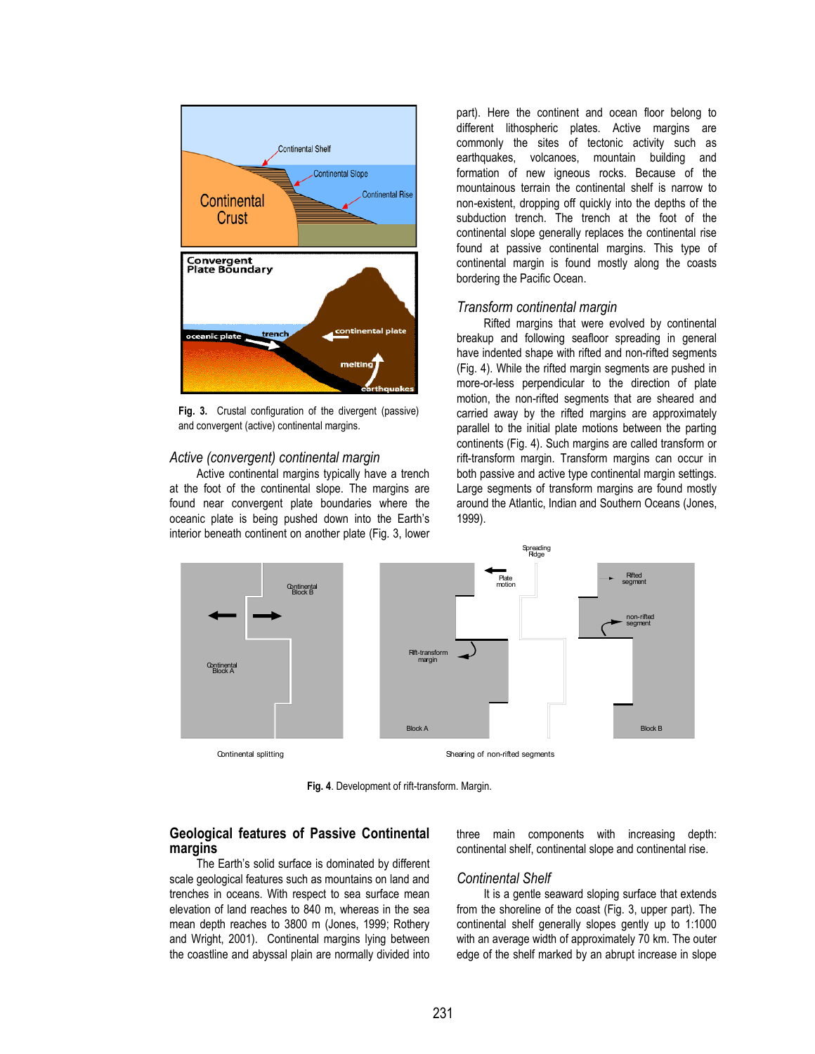

**Fig. 3.** Crustal configuration of the divergent (passive) and convergent (active) continental margins.

## *Active (convergent) continental margin*

Active continental margins typically have a trench at the foot of the continental slope. The margins are found near convergent plate boundaries where the oceanic plate is being pushed down into the Earth's interior beneath continent on another plate (Fig. 3, lower part). Here the continent and ocean floor belong to different lithospheric plates. Active margins are commonly the sites of tectonic activity such as earthquakes, volcanoes, mountain building and formation of new igneous rocks. Because of the mountainous terrain the continental shelf is narrow to non-existent, dropping off quickly into the depths of the subduction trench. The trench at the foot of the continental slope generally replaces the continental rise found at passive continental margins. This type of continental margin is found mostly along the coasts bordering the Pacific Ocean.

#### *Transform continental margin*

Rifted margins that were evolved by continental breakup and following seafloor spreading in general have indented shape with rifted and non-rifted segments (Fig. 4). While the rifted margin segments are pushed in more-or-less perpendicular to the direction of plate motion, the non-rifted segments that are sheared and carried away by the rifted margins are approximately parallel to the initial plate motions between the parting continents (Fig. 4). Such margins are called transform or rift-transform margin. Transform margins can occur in both passive and active type continental margin settings. Large segments of transform margins are found mostly around the Atlantic, Indian and Southern Oceans (Jones, 1999).



**Fig. 4**. Development of rift-transform. Margin.

## **Geological features of Passive Continental margins**

The Earth's solid surface is dominated by different scale geological features such as mountains on land and trenches in oceans. With respect to sea surface mean elevation of land reaches to 840 m, whereas in the sea mean depth reaches to 3800 m (Jones, 1999; Rothery and Wright, 2001). Continental margins lying between the coastline and abyssal plain are normally divided into three main components with increasing depth: continental shelf, continental slope and continental rise.

**Continental Shelf**<br>It is a gentle seaward sloping surface that extends from the shoreline of the coast (Fig. 3, upper part). The continental shelf generally slopes gently up to 1:1000 with an average width of approximately 70 km. The outer edge of the shelf marked by an abrupt increase in slope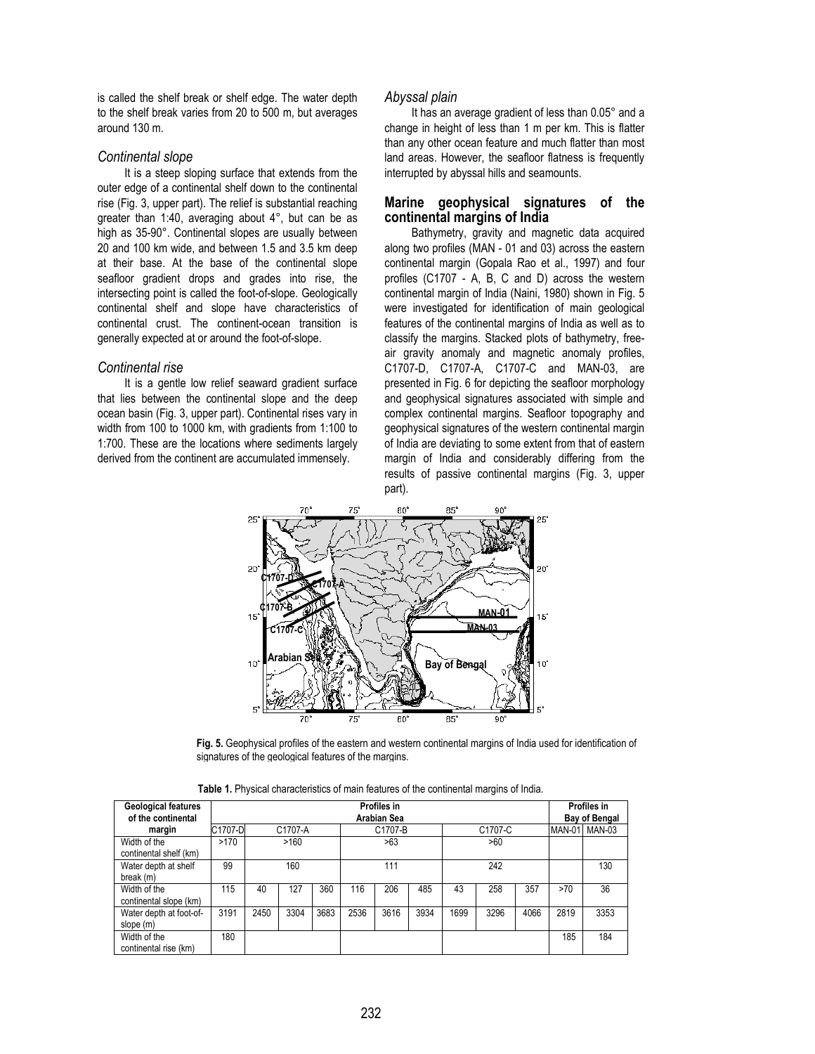is called the shelf break or shelf edge. The water depth to the shelf break varies from 20 to 500 m, but averages around 130 m.

#### *Continental slope*

It is a steep sloping surface that extends from the outer edge of a continental shelf down to the continental rise (Fig. 3, upper part). The relief is substantial reaching greater than 1:40, averaging about 4°, but can be as high as 35-90°. Continental slopes are usually between 20 and 100 km wide, and between 1.5 and 3.5 km deep at their base. At the base of the continental slope seafloor gradient drops and grades into rise, the intersecting point is called the foot-of-slope. Geologically continental shelf and slope have characteristics of continental crust. The continent-ocean transition is generally expected at or around the foot-of-slope.

**Continental rise**<br>It is a gentle low relief seaward gradient surface that lies between the continental slope and the deep ocean basin (Fig. 3, upper part). Continental rises vary in width from 100 to 1000 km, with gradients from 1:100 to 1:700. These are the locations where sediments largely derived from the continent are accumulated immensely.

#### *Abyssal plain*

It has an average gradient of less than 0.05° and a change in height of less than 1 m per km. This is flatter than any other ocean feature and much flatter than most land areas. However, the seafloor flatness is frequently interrupted by abyssal hills and seamounts.

## **Marine geophysical signatures of the continental margins of India**

Bathymetry, gravity and magnetic data acquired along two profiles (MAN - 01 and 03) across the eastern continental margin (Gopala Rao et al., 1997) and four profiles (C1707 - A, B, C and D) across the western continental margin of India (Naini, 1980) shown in Fig. 5 were investigated for identification of main geological features of the continental margins of India as well as to classify the margins. Stacked plots of bathymetry, freeair gravity anomaly and magnetic anomaly profiles, C1707-D, C1707-A, C1707-C and MAN-03, are presented in Fig. 6 for depicting the seafloor morphology and geophysical signatures associated with simple and complex continental margins. Seafloor topography and geophysical signatures of the western continental margin of India are deviating to some extent from that of eastern margin of India and considerably differing from the results of passive continental margins (Fig. 3, upper part).



**Fig. 5.** Geophysical profiles of the eastern and western continental margins of India used for identification of signatures of the geological features of the margins.

| Table 1. Physical characteristics of main features of the continental margins of India. |  |
|-----------------------------------------------------------------------------------------|--|
|-----------------------------------------------------------------------------------------|--|

| Geological features     | Profiles in |                    |      |      |         |      |      |         |      |      | Profiles in |                      |  |  |
|-------------------------|-------------|--------------------|------|------|---------|------|------|---------|------|------|-------------|----------------------|--|--|
| of the continental      |             | <b>Arabian Sea</b> |      |      |         |      |      |         |      |      |             | <b>Bay of Bengal</b> |  |  |
| margin                  | C1707-D     | C1707-A            |      |      | C1707-B |      |      | C1707-C |      |      |             | MAN-01 MAN-03        |  |  |
| Width of the            | >170        | >160               |      |      | >63     |      |      | >60     |      |      |             |                      |  |  |
| continental shelf (km)  |             |                    |      |      |         |      |      |         |      |      |             |                      |  |  |
| Water depth at shelf    | 99          | 160                |      |      | 111     |      |      | 242     |      |      |             | 130                  |  |  |
| break (m)               |             |                    |      |      |         |      |      |         |      |      |             |                      |  |  |
| Width of the            | 115         | 40                 | 127  | 360  | 116     | 206  | 485  | 43      | 258  | 357  | >70         | 36                   |  |  |
| continental slope (km)  |             |                    |      |      |         |      |      |         |      |      |             |                      |  |  |
| Water depth at foot-of- | 3191        | 2450               | 3304 | 3683 | 2536    | 3616 | 3934 | 1699    | 3296 | 4066 | 2819        | 3353                 |  |  |
| slope (m)               |             |                    |      |      |         |      |      |         |      |      |             |                      |  |  |
| Width of the            | 180         |                    |      |      |         |      |      |         |      |      | 185         | 184                  |  |  |
| continental rise (km)   |             |                    |      |      |         |      |      |         |      |      |             |                      |  |  |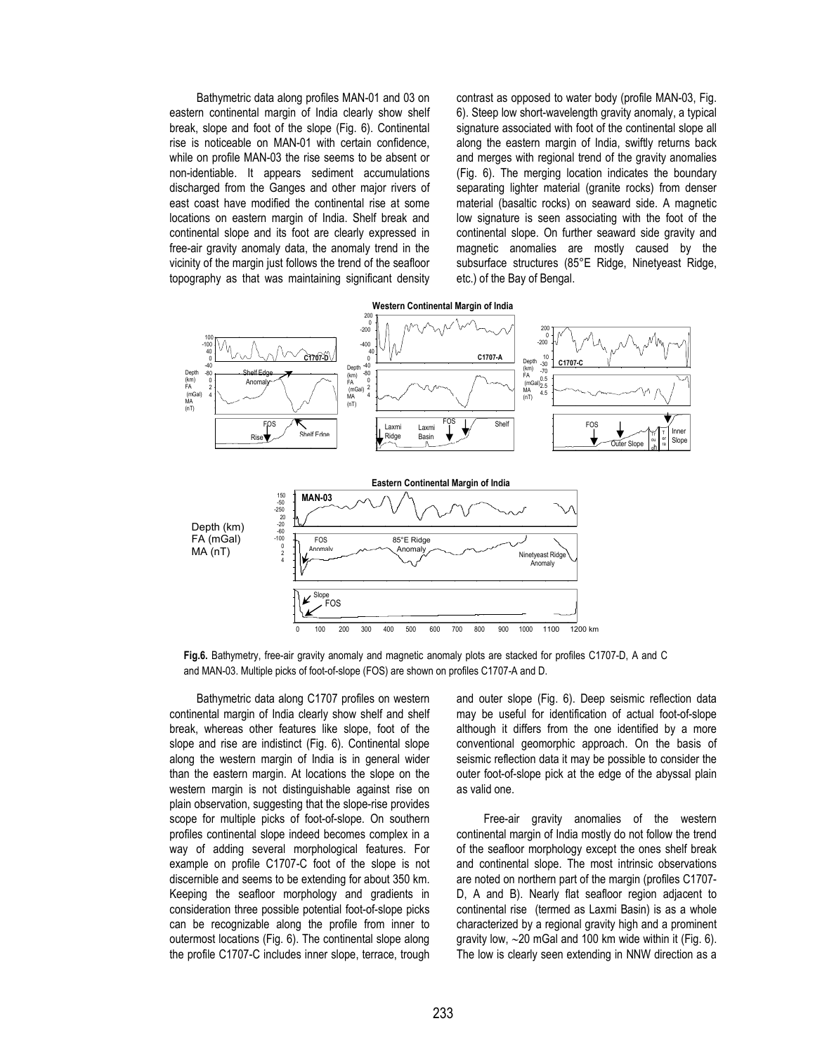Bathymetric data along profiles MAN-01 and 03 on eastern continental margin of India clearly show shelf break, slope and foot of the slope (Fig. 6). Continental rise is noticeable on MAN-01 with certain confidence, while on profile MAN-03 the rise seems to be absent or non-identiable. It appears sediment accumulations discharged from the Ganges and other major rivers of east coast have modified the continental rise at some locations on eastern margin of India. Shelf break and continental slope and its foot are clearly expressed in free-air gravity anomaly data, the anomaly trend in the vicinity of the margin just follows the trend of the seafloor topography as that was maintaining significant density contrast as opposed to water body (profile MAN-03, Fig. 6). Steep low short-wavelength gravity anomaly, a typical signature associated with foot of the continental slope all along the eastern margin of India, swiftly returns back and merges with regional trend of the gravity anomalies (Fig. 6). The merging location indicates the boundary separating lighter material (granite rocks) from denser material (basaltic rocks) on seaward side. A magnetic low signature is seen associating with the foot of the continental slope. On further seaward side gravity and magnetic anomalies are mostly caused by the subsurface structures (85°E Ridge, Ninetyeast Ridge, etc.) of the Bay of Bengal.



**Fig.6.** Bathymetry, free-air gravity anomaly and magnetic anomaly plots are stacked for profiles C1707-D, A and C and MAN-03. Multiple picks of foot-of-slope (FOS) are shown on profiles C1707-A and D.

Bathymetric data along C1707 profiles on western continental margin of India clearly show shelf and shelf break, whereas other features like slope, foot of the slope and rise are indistinct (Fig. 6). Continental slope along the western margin of India is in general wider than the eastern margin. At locations the slope on the western margin is not distinguishable against rise on plain observation, suggesting that the slope-rise provides scope for multiple picks of foot-of-slope. On southern profiles continental slope indeed becomes complex in a way of adding several morphological features. For example on profile C1707-C foot of the slope is not discernible and seems to be extending for about 350 km. Keeping the seafloor morphology and gradients in consideration three possible potential foot-of-slope picks can be recognizable along the profile from inner to outermost locations (Fig. 6). The continental slope along the profile C1707-C includes inner slope, terrace, trough and outer slope (Fig. 6). Deep seismic reflection data may be useful for identification of actual foot-of-slope although it differs from the one identified by a more conventional geomorphic approach. On the basis of seismic reflection data it may be possible to consider the outer foot-of-slope pick at the edge of the abyssal plain as valid one.

Free-air gravity anomalies of the western continental margin of India mostly do not follow the trend of the seafloor morphology except the ones shelf break and continental slope. The most intrinsic observations are noted on northern part of the margin (profiles C1707- D, A and B). Nearly flat seafloor region adjacent to continental rise (termed as Laxmi Basin) is as a whole characterized by a regional gravity high and a prominent gravity low, ∼20 mGal and 100 km wide within it (Fig. 6). The low is clearly seen extending in NNW direction as a